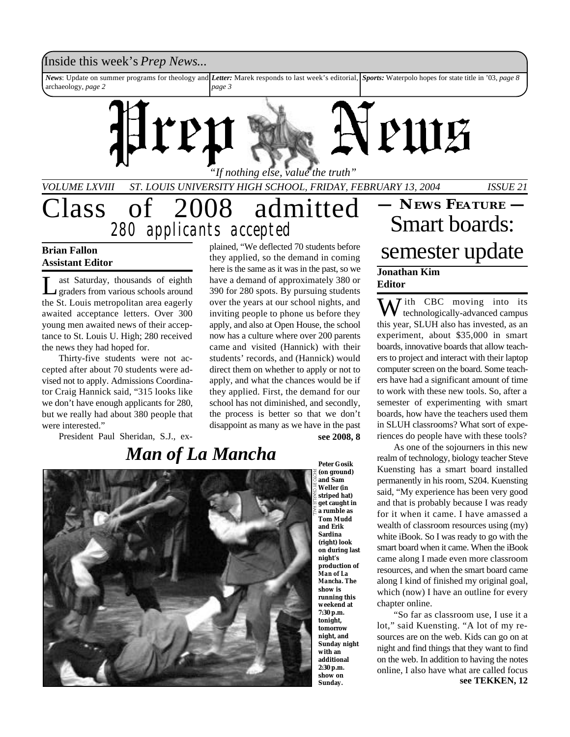## Inside this week's *Prep News*...

*News*: Update on summer programs for theology and *Letter:* Marek responds to last week's editorial, *Sports:* Waterpolo hopes for state title in '03, *page 8* archaeology, *page 2 page 3*

# PIUE *"If nothing else, value the truth" VOLUME LXVIII ST. LOUIS UNIVERSITY HIGH SCHOOL, FRIDAY, FEBRUARY 13, 2004 ISSUE 21*

# Class of 2008 admitted *280 applicants accepted*

## **Brian Fallon Assistant Editor**

L ast Saturday, thousands of eighth graders from various schools around the St. Louis metropolitan area eagerly awaited acceptance letters. Over 300 young men awaited news of their acceptance to St. Louis U. High; 280 received the news they had hoped for.

Thirty-five students were not accepted after about 70 students were advised not to apply. Admissions Coordinator Craig Hannick said, "315 looks like we don't have enough applicants for 280, but we really had about 380 people that were interested."

President Paul Sheridan, S.J., ex-

plained, "We deflected 70 students before they applied, so the demand in coming here is the same as it was in the past, so we have a demand of approximately 380 or 390 for 280 spots. By pursuing students over the years at our school nights, and inviting people to phone us before they apply, and also at Open House, the school now has a culture where over 200 parents came and visited (Hannick) with their students' records, and (Hannick) would direct them on whether to apply or not to apply, and what the chances would be if they applied. First, the demand for our school has not diminished, and secondly, the process is better so that we don't disappoint as many as we have in the past

## **see 2008, 8**



**(on ground) and Sam Weller (in striped hat) get caught in a rumble as Tom Mudd and Erik Sardina (right) look on during last night's production of** *Man of La Mancha***. The show is running this weekend at 7:30 p.m. tonight, tomorrow night, and Sunday night with an additional 2:30 p.m. show on Sunday.**

# **— NEWS FEATURE —** Smart boards: semester update

## **Jonathan Kim Editor**

 $\sum J$  ith CBC moving into its technologically-advanced campus this year, SLUH also has invested, as an experiment, about \$35,000 in smart boards, innovative boards that allow teachers to project and interact with their laptop computer screen on the board. Some teachers have had a significant amount of time to work with these new tools. So, after a semester of experimenting with smart boards, how have the teachers used them in SLUH classrooms? What sort of experiences do people have with these tools?

As one of the sojourners in this new realm of technology, biology teacher Steve Kuensting has a smart board installed permanently in his room, S204. Kuensting said, "My experience has been very good and that is probably because I was ready for it when it came. I have amassed a wealth of classroom resources using (my) white iBook. So I was ready to go with the smart board when it came. When the iBook came along I made even more classroom resources, and when the smart board came along I kind of finished my original goal, which (now) I have an outline for every chapter online.

"So far as classroom use, I use it a lot," said Kuensting. "A lot of my resources are on the web. Kids can go on at night and find things that they want to find on the web. In addition to having the notes online, I also have what are called focus **see TEKKEN, 12**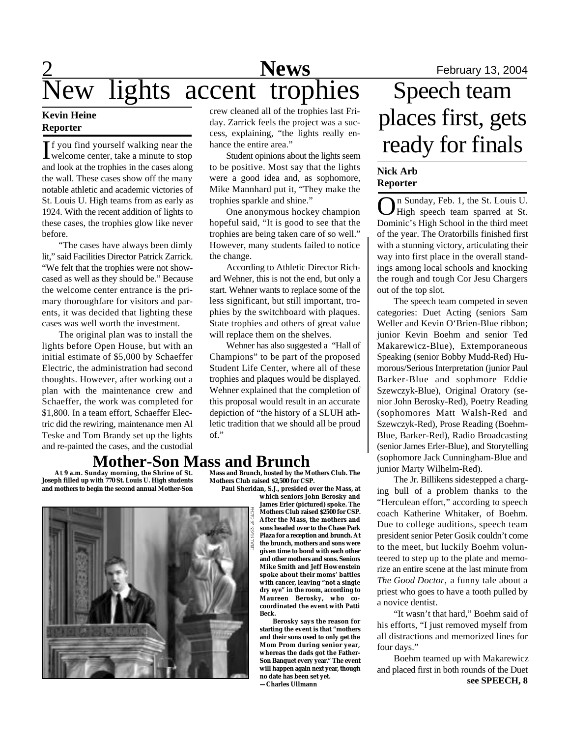# 2 **News** February 13, 2004 New lights accent trophies Speech team

## **Kevin Heine Reporter**

If you find yourself walking near the<br>welcome center, take a minute to stop welcome center, take a minute to stop and look at the trophies in the cases along the wall. These cases show off the many notable athletic and academic victories of St. Louis U. High teams from as early as 1924. With the recent addition of lights to these cases, the trophies glow like never before.

"The cases have always been dimly lit," said Facilities Director Patrick Zarrick. "We felt that the trophies were not showcased as well as they should be." Because the welcome center entrance is the primary thoroughfare for visitors and parents, it was decided that lighting these cases was well worth the investment.

The original plan was to install the lights before Open House, but with an initial estimate of \$5,000 by Schaeffer Electric, the administration had second thoughts. However, after working out a plan with the maintenance crew and Schaeffer, the work was completed for \$1,800. In a team effort, Schaeffer Electric did the rewiring, maintenance men Al Teske and Tom Brandy set up the lights and re-painted the cases, and the custodial crew cleaned all of the trophies last Friday. Zarrick feels the project was a success, explaining, "the lights really enhance the entire area."

Student opinions about the lights seem to be positive. Most say that the lights were a good idea and, as sophomore, Mike Mannhard put it, "They make the trophies sparkle and shine."

One anonymous hockey champion hopeful said, "It is good to see that the trophies are being taken care of so well." However, many students failed to notice the change.

According to Athletic Director Richard Wehner, this is not the end, but only a start. Wehner wants to replace some of the less significant, but still important, trophies by the switchboard with plaques. State trophies and others of great value will replace them on the shelves.

Wehner has also suggested a "Hall of Champions" to be part of the proposed Student Life Center, where all of these trophies and plaques would be displayed. Wehner explained that the completion of this proposal would result in an accurate depiction of "the history of a SLUH athletic tradition that we should all be proud of."

## **Mother-Son Mass and Brunch**

 **At 9 a.m. Sunday morning, the Shrine of St. Joseph filled up with 770 St. Louis U. High students and mothers to begin the second annual Mother-Son**

**Mass and Brunch, hosted by the Mothers Club. The Mothers Club raised \$2,500 for CSP.**



 **Paul Sheridan, S.J., presided over the Mass, at which seniors John Berosky and James Erler (pictured) spoke. The Mothers Club raised \$2500 for CSP. After the Mass, the mothers and sons headed over to the Chase Park Plaza for a reception and brunch. At the brunch, mothers and sons were given time to bond with each other and other mothers and sons. Seniors Mike Smith and Jeff Howenstein spoke about their moms' battles with cancer, leaving "not a single dry eye" in the room, according to Maureen Berosky, who cocoordinated the event with Patti Beck.**

> **Berosky says the reason for starting the event is that "mothers and their sons used to only get the Mom Prom during senior year, whereas the dads got the Father-Son Banquet every year." The event will happen again next year, though no date has been set yet. —Charles Ullmann**

# places first, gets ready for finals

## **Nick Arb Reporter**

O n Sunday, Feb. 1, the St. Louis U. High speech team sparred at St. Dominic's High School in the third meet of the year. The Oratorbills finished first with a stunning victory, articulating their way into first place in the overall standings among local schools and knocking the rough and tough Cor Jesu Chargers out of the top slot.

The speech team competed in seven categories: Duet Acting (seniors Sam Weller and Kevin O'Brien-Blue ribbon; junior Kevin Boehm and senior Ted Makarewicz-Blue), Extemporaneous Speaking (senior Bobby Mudd-Red) Humorous/Serious Interpretation (junior Paul Barker-Blue and sophmore Eddie Szewczyk-Blue), Original Oratory (senior John Berosky-Red), Poetry Reading (sophomores Matt Walsh-Red and Szewczyk-Red), Prose Reading (Boehm-Blue, Barker-Red), Radio Broadcasting (senior James Erler-Blue), and Storytelling (sophomore Jack Cunningham-Blue and junior Marty Wilhelm-Red).

The Jr. Billikens sidestepped a charging bull of a problem thanks to the "Herculean effort," according to speech coach Katherine Whitaker, of Boehm. Due to college auditions, speech team president senior Peter Gosik couldn't come to the meet, but luckily Boehm volunteered to step up to the plate and memorize an entire scene at the last minute from *The Good Doctor,* a funny tale about a priest who goes to have a tooth pulled by a novice dentist.

"It wasn't that hard," Boehm said of his efforts, "I just removed myself from all distractions and memorized lines for four days."

Boehm teamed up with Makarewicz and placed first in both rounds of the Duet **see SPEECH, 8**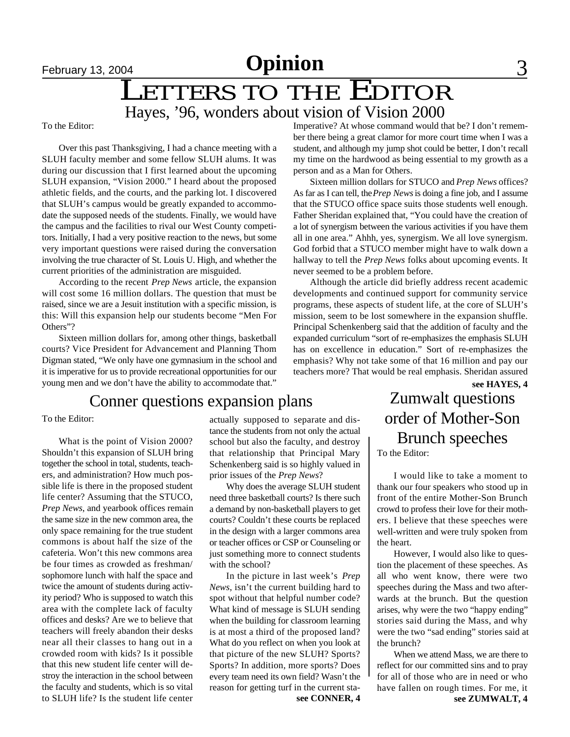# LETTERS TO THE EDITOR

## Hayes, '96, wonders about vision of Vision 2000

To the Editor:

Over this past Thanksgiving, I had a chance meeting with a SLUH faculty member and some fellow SLUH alums. It was during our discussion that I first learned about the upcoming SLUH expansion, "Vision 2000." I heard about the proposed athletic fields, and the courts, and the parking lot. I discovered that SLUH's campus would be greatly expanded to accommodate the supposed needs of the students. Finally, we would have the campus and the facilities to rival our West County competitors. Initially, I had a very positive reaction to the news, but some very important questions were raised during the conversation involving the true character of St. Louis U. High, and whether the current priorities of the administration are misguided.

According to the recent *Prep News* article, the expansion will cost some 16 million dollars. The question that must be raised, since we are a Jesuit institution with a specific mission, is this: Will this expansion help our students become "Men For Others"?

Sixteen million dollars for, among other things, basketball courts? Vice President for Advancement and Planning Thom Digman stated, "We only have one gymnasium in the school and it is imperative for us to provide recreational opportunities for our young men and we don't have the ability to accommodate that."

## Conner questions expansion plans Zumwalt questions

To the Editor:

What is the point of Vision 2000? Shouldn't this expansion of SLUH bring together the school in total, students, teachers, and administration? How much possible life is there in the proposed student life center? Assuming that the STUCO, *Prep News*, and yearbook offices remain the same size in the new common area, the only space remaining for the true student commons is about half the size of the cafeteria. Won't this new commons area be four times as crowded as freshman/ sophomore lunch with half the space and twice the amount of students during activity period? Who is supposed to watch this area with the complete lack of faculty offices and desks? Are we to believe that teachers will freely abandon their desks near all their classes to hang out in a crowded room with kids? Is it possible that this new student life center will destroy the interaction in the school between the faculty and students, which is so vital to SLUH life? Is the student life center

actually supposed to separate and distance the students from not only the actual school but also the faculty, and destroy that relationship that Principal Mary Schenkenberg said is so highly valued in prior issues of the *Prep News*?

Why does the average SLUH student need three basketball courts? Is there such a demand by non-basketball players to get courts? Couldn't these courts be replaced in the design with a larger commons area or teacher offices or CSP or Counseling or just something more to connect students with the school?

In the picture in last week's *Prep News*, isn't the current building hard to spot without that helpful number code? What kind of message is SLUH sending when the building for classroom learning is at most a third of the proposed land? What do you reflect on when you look at that picture of the new SLUH? Sports? Sports? In addition, more sports? Does every team need its own field? Wasn't the reason for getting turf in the current sta-

Imperative? At whose command would that be? I don't remember there being a great clamor for more court time when I was a student, and although my jump shot could be better, I don't recall my time on the hardwood as being essential to my growth as a person and as a Man for Others.

Sixteen million dollars for STUCO and *Prep News* offices? As far as I can tell, the *Prep News* is doing a fine job, and I assume that the STUCO office space suits those students well enough. Father Sheridan explained that, "You could have the creation of a lot of synergism between the various activities if you have them all in one area." Ahhh, yes, synergism. We all love synergism. God forbid that a STUCO member might have to walk down a hallway to tell the *Prep News* folks about upcoming events. It never seemed to be a problem before.

**see HAYES, 4** Although the article did briefly address recent academic developments and continued support for community service programs, these aspects of student life, at the core of SLUH's mission, seem to be lost somewhere in the expansion shuffle. Principal Schenkenberg said that the addition of faculty and the expanded curriculum "sort of re-emphasizes the emphasis SLUH has on excellence in education." Sort of re-emphasizes the emphasis? Why not take some of that 16 million and pay our teachers more? That would be real emphasis. Sheridan assured

# order of Mother-Son Brunch speeches To the Editor:

I would like to take a moment to thank our four speakers who stood up in front of the entire Mother-Son Brunch crowd to profess their love for their mothers. I believe that these speeches were well-written and were truly spoken from the heart.

However, I would also like to question the placement of these speeches. As all who went know, there were two speeches during the Mass and two afterwards at the brunch. But the question arises, why were the two "happy ending" stories said during the Mass, and why were the two "sad ending" stories said at the brunch?

**see CONNER, 4 see ZUMWALT, 4** When we attend Mass, we are there to reflect for our committed sins and to pray for all of those who are in need or who have fallen on rough times. For me, it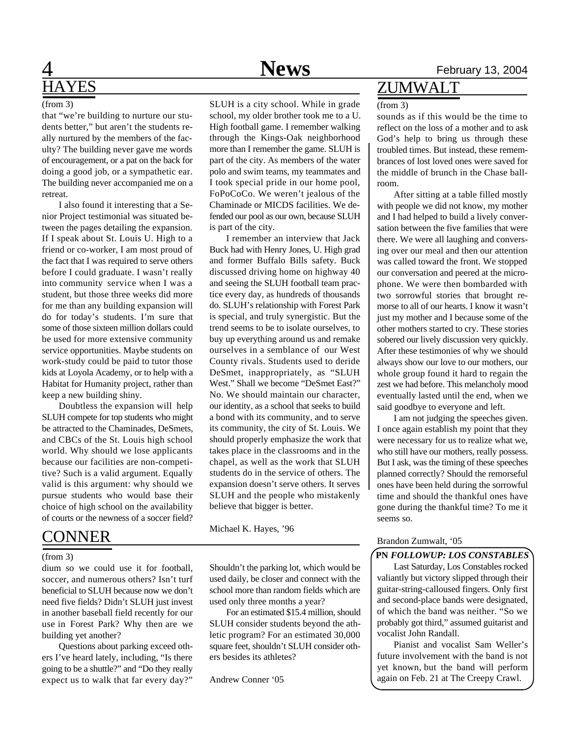## 4 **News** February 13, 2004 **HAYES**

### (from 3)

that "we're building to nurture our students better," but aren't the students really nurtured by the members of the faculty? The building never gave me words of encouragement, or a pat on the back for doing a good job, or a sympathetic ear. The building never accompanied me on a retreat.

I also found it interesting that a Senior Project testimonial was situated between the pages detailing the expansion. If I speak about St. Louis U. High to a friend or co-worker, I am most proud of the fact that I was required to serve others before I could graduate. I wasn't really into community service when I was a student, but those three weeks did more for me than any building expansion will do for today's students. I'm sure that some of those sixteen million dollars could be used for more extensive community service opportunities. Maybe students on work-study could be paid to tutor those kids at Loyola Academy, or to help with a Habitat for Humanity project, rather than keep a new building shiny.

Doubtless the expansion will help SLUH compete for top students who might be attracted to the Chaminades, DeSmets, and CBCs of the St. Louis high school world. Why should we lose applicants because our facilities are non-competitive? Such is a valid argument. Equally valid is this argument: why should we pursue students who would base their choice of high school on the availability of courts or the newness of a soccer field?

## CONNER

(from 3)

dium so we could use it for football, soccer, and numerous others? Isn't turf beneficial to SLUH because now we don't need five fields? Didn't SLUH just invest in another baseball field recently for our use in Forest Park? Why then are we building yet another?

Questions about parking exceed others I've heard lately, including, "Is there going to be a shuttle?" and "Do they really expect us to walk that far every day?"

SLUH is a city school. While in grade school, my older brother took me to a U. High football game. I remember walking through the Kings-Oak neighborhood more than I remember the game. SLUH is part of the city. As members of the water polo and swim teams, my teammates and I took special pride in our home pool, FoPoCoCo. We weren't jealous of the Chaminade or MICDS facilities. We defended our pool as our own, because SLUH

I remember an interview that Jack Buck had with Henry Jones, U. High grad and former Buffalo Bills safety. Buck discussed driving home on highway 40 and seeing the SLUH football team practice every day, as hundreds of thousands do. SLUH's relationship with Forest Park is special, and truly synergistic. But the trend seems to be to isolate ourselves, to buy up everything around us and remake ourselves in a semblance of our West County rivals. Students used to deride DeSmet, inappropriately, as "SLUH West." Shall we become "DeSmet East?" No. We should maintain our character, our identity, as a school that seeks to build a bond with its community, and to serve its community, the city of St. Louis. We should properly emphasize the work that takes place in the classrooms and in the chapel, as well as the work that SLUH students do in the service of others. The expansion doesn't serve others. It serves SLUH and the people who mistakenly

is part of the city.

## ZUMWALT

### (from 3)

sounds as if this would be the time to reflect on the loss of a mother and to ask God's help to bring us through these troubled times. But instead, these remembrances of lost loved ones were saved for the middle of brunch in the Chase ballroom.

After sitting at a table filled mostly with people we did not know, my mother and I had helped to build a lively conversation between the five families that were there. We were all laughing and conversing over our meal and then our attention was called toward the front. We stopped our conversation and peered at the microphone. We were then bombarded with two sorrowful stories that brought remorse to all of our hearts. I know it wasn't just my mother and I because some of the other mothers started to cry. These stories sobered our lively discussion very quickly. After these testimonies of why we should always show our love to our mothers, our whole group found it hard to regain the zest we had before. This melancholy mood eventually lasted until the end, when we said goodbye to everyone and left.

I am not judging the speeches given. I once again establish my point that they were necessary for us to realize what we, who still have our mothers, really possess. But I ask, was the timing of these speeches planned correctly? Should the remorseful ones have been held during the sorrowful time and should the thankful ones have gone during the thankful time? To me it seems so.

### Brandon Zumwalt, '05

### **PN** *FOLLOWUP: LOS CONSTABLES*

Last Saturday, Los Constables rocked valiantly but victory slipped through their guitar-string-calloused fingers. Only first and second-place bands were designated, of which the band was neither. "So we probably got third," assumed guitarist and vocalist John Randall.

Pianist and vocalist Sam Weller's future involvement with the band is not yet known, but the band will perform again on Feb. 21 at The Creepy Crawl.

Shouldn't the parking lot, which would be used daily, be closer and connect with the school more than random fields which are used only three months a year?

believe that bigger is better.

Michael K. Hayes, '96

For an estimated \$15.4 million, should SLUH consider students beyond the athletic program? For an estimated 30,000 square feet, shouldn't SLUH consider others besides its athletes?

Andrew Conner '05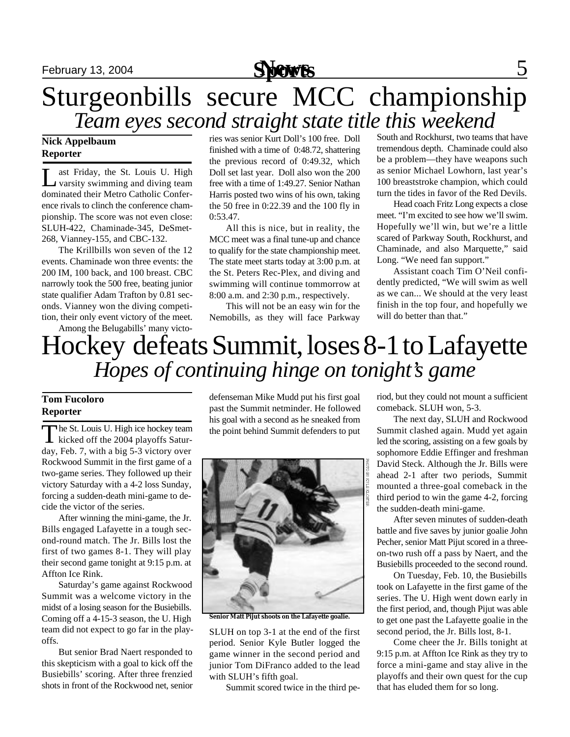

# Sturgeonbills secure MCC championship *Team eyes second straight state title this weekend*

## **Nick Appelbaum Reporter**

L ast Friday, the St. Louis U. High varsity swimming and diving team ast Friday, the St. Louis U. High dominated their Metro Catholic Conference rivals to clinch the conference championship. The score was not even close: SLUH-422, Chaminade-345, DeSmet-268, Vianney-155, and CBC-132.

The Krillbills won seven of the 12 events. Chaminade won three events: the 200 IM, 100 back, and 100 breast. CBC narrowly took the 500 free, beating junior state qualifier Adam Trafton by 0.81 seconds. Vianney won the diving competition, their only event victory of the meet.

Among the Belugabills' many victo-

ries was senior Kurt Doll's 100 free. Doll finished with a time of 0:48.72, shattering the previous record of 0:49.32, which Doll set last year. Doll also won the 200 free with a time of 1:49.27. Senior Nathan Harris posted two wins of his own, taking the 50 free in 0:22.39 and the 100 fly in 0:53.47.

All this is nice, but in reality, the MCC meet was a final tune-up and chance to qualify for the state championship meet. The state meet starts today at 3:00 p.m. at the St. Peters Rec-Plex, and diving and swimming will continue tommorrow at 8:00 a.m. and 2:30 p.m., respectively.

This will not be an easy win for the Nemobills, as they will face Parkway

South and Rockhurst, two teams that have tremendous depth. Chaminade could also be a problem—they have weapons such as senior Michael Lowhorn, last year's 100 breaststroke champion, which could turn the tides in favor of the Red Devils.

Head coach Fritz Long expects a close meet. "I'm excited to see how we'll swim. Hopefully we'll win, but we're a little scared of Parkway South, Rockhurst, and Chaminade, and also Marquette," said Long. "We need fan support."

Assistant coach Tim O'Neil confidently predicted, "We will swim as well as we can... We should at the very least finish in the top four, and hopefully we will do better than that."

# Hockey defeats Summit, loses 8-1 to Lafayette *Hopes of continuing hinge on tonight's game*

## **Tom Fucoloro Reporter**

The St. Louis U. High ice hockey team<br>kicked off the 2004 playoffs Saturhe St. Louis U. High ice hockey team day, Feb. 7, with a big 5-3 victory over Rockwood Summit in the first game of a two-game series. They followed up their victory Saturday with a 4-2 loss Sunday, forcing a sudden-death mini-game to decide the victor of the series.

After winning the mini-game, the Jr. Bills engaged Lafayette in a tough second-round match. The Jr. Bills lost the first of two games 8-1. They will play their second game tonight at 9:15 p.m. at Affton Ice Rink.

Saturday's game against Rockwood Summit was a welcome victory in the midst of a losing season for the Busiebills. Coming off a 4-15-3 season, the U. High team did not expect to go far in the playoffs.

But senior Brad Naert responded to this skepticism with a goal to kick off the Busiebills' scoring. After three frenzied shots in front of the Rockwood net, senior

defenseman Mike Mudd put his first goal past the Summit netminder. He followed his goal with a second as he sneaked from the point behind Summit defenders to put



**Senior Matt Pijut shoots on the Lafayette goalie.**

SLUH on top 3-1 at the end of the first period. Senior Kyle Butler logged the game winner in the second period and junior Tom DiFranco added to the lead with SLUH's fifth goal.

Summit scored twice in the third pe-

riod, but they could not mount a sufficient comeback. SLUH won, 5-3.

The next day, SLUH and Rockwood Summit clashed again. Mudd yet again led the scoring, assisting on a few goals by sophomore Eddie Effinger and freshman David Steck. Although the Jr. Bills were ahead 2-1 after two periods, Summit mounted a three-goal comeback in the third period to win the game 4-2, forcing the sudden-death mini-game.

After seven minutes of sudden-death battle and five saves by junior goalie John Pecher, senior Matt Pijut scored in a threeon-two rush off a pass by Naert, and the Busiebills proceeded to the second round.

On Tuesday, Feb. 10, the Busiebills took on Lafayette in the first game of the series. The U. High went down early in the first period, and, though Pijut was able to get one past the Lafayette goalie in the second period, the Jr. Bills lost, 8-1.

Come cheer the Jr. Bills tonight at 9:15 p.m. at Affton Ice Rink as they try to force a mini-game and stay alive in the playoffs and their own quest for the cup that has eluded them for so long.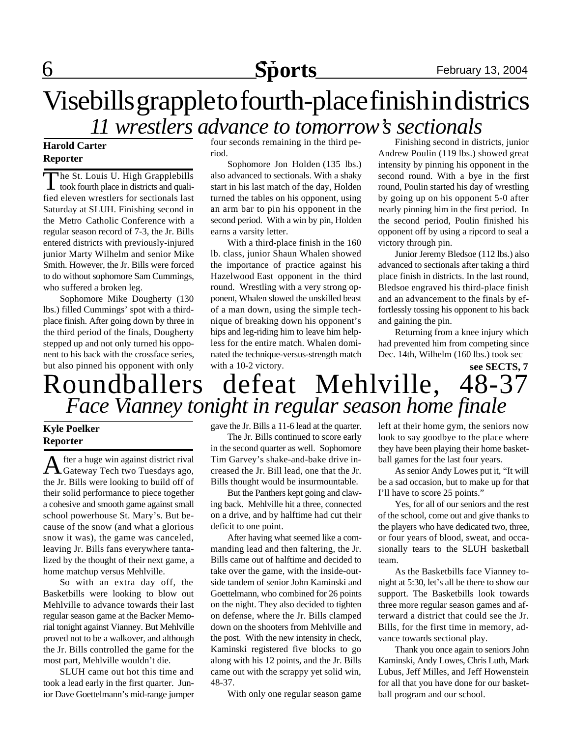# **6 Sports** February 13, 2004

# Visebills grapple to fourth-place finish in districs *11 wrestlers advance to tomorrow's sectionals*

## **Harold Carter Reporter**

The St. Louis U. High Grapplebills<br>took fourth place in districts and quali-**L** took fourth place in districts and qualified eleven wrestlers for sectionals last Saturday at SLUH. Finishing second in the Metro Catholic Conference with a regular season record of 7-3, the Jr. Bills entered districts with previously-injured junior Marty Wilhelm and senior Mike Smith. However, the Jr. Bills were forced to do without sophomore Sam Cummings, who suffered a broken leg.

Sophomore Mike Dougherty (130 lbs.) filled Cummings' spot with a thirdplace finish. After going down by three in the third period of the finals, Dougherty stepped up and not only turned his opponent to his back with the crossface series, but also pinned his opponent with only

four seconds remaining in the third period.

Sophomore Jon Holden (135 lbs.) also advanced to sectionals. With a shaky start in his last match of the day, Holden turned the tables on his opponent, using an arm bar to pin his opponent in the second period. With a win by pin, Holden earns a varsity letter.

With a third-place finish in the 160 lb. class, junior Shaun Whalen showed the importance of practice against his Hazelwood East opponent in the third round. Wrestling with a very strong opponent, Whalen slowed the unskilled beast of a man down, using the simple technique of breaking down his opponent's hips and leg-riding him to leave him helpless for the entire match. Whalen dominated the technique-versus-strength match with a 10-2 victory.

Finishing second in districts, junior Andrew Poulin (119 lbs.) showed great intensity by pinning his opponent in the second round. With a bye in the first round, Poulin started his day of wrestling by going up on his opponent 5-0 after nearly pinning him in the first period. In the second period, Poulin finished his opponent off by using a ripcord to seal a victory through pin.

Junior Jeremy Bledsoe (112 lbs.) also advanced to sectionals after taking a third place finish in districts. In the last round, Bledsoe engraved his third-place finish and an advancement to the finals by effortlessly tossing his opponent to his back and gaining the pin.

Returning from a knee injury which had prevented him from competing since Dec. 14th, Wilhelm (160 lbs.) took sec

## Roundballers defeat Mehlville, 48-37 *Face Vianney tonight in regular season home finale* **see SECTS, 7**

## **Kyle Poelker Reporter**

A fter a huge win against district rival<br>Gateway Tech two Tuesdays ago, fter a huge win against district rival the Jr. Bills were looking to build off of their solid performance to piece together a cohesive and smooth game against small school powerhouse St. Mary's. But because of the snow (and what a glorious snow it was), the game was canceled, leaving Jr. Bills fans everywhere tantalized by the thought of their next game, a home matchup versus Mehlville.

So with an extra day off, the Basketbills were looking to blow out Mehlville to advance towards their last regular season game at the Backer Memorial tonight against Vianney. But Mehlville proved not to be a walkover, and although the Jr. Bills controlled the game for the most part, Mehlville wouldn't die.

SLUH came out hot this time and took a lead early in the first quarter. Junior Dave Goettelmann's mid-range jumper gave the Jr. Bills a 11-6 lead at the quarter.

The Jr. Bills continued to score early in the second quarter as well. Sophomore Tim Garvey's shake-and-bake drive increased the Jr. Bill lead, one that the Jr. Bills thought would be insurmountable.

But the Panthers kept going and clawing back. Mehlville hit a three, connected on a drive, and by halftime had cut their deficit to one point.

After having what seemed like a commanding lead and then faltering, the Jr. Bills came out of halftime and decided to take over the game, with the inside-outside tandem of senior John Kaminski and Goettelmann, who combined for 26 points on the night. They also decided to tighten on defense, where the Jr. Bills clamped down on the shooters from Mehlville and the post. With the new intensity in check, Kaminski registered five blocks to go along with his 12 points, and the Jr. Bills came out with the scrappy yet solid win, 48-37.

With only one regular season game

left at their home gym, the seniors now look to say goodbye to the place where they have been playing their home basketball games for the last four years.

As senior Andy Lowes put it, "It will be a sad occasion, but to make up for that I'll have to score 25 points."

Yes, for all of our seniors and the rest of the school, come out and give thanks to the players who have dedicated two, three, or four years of blood, sweat, and occasionally tears to the SLUH basketball team.

As the Basketbills face Vianney tonight at 5:30, let's all be there to show our support. The Basketbills look towards three more regular season games and afterward a district that could see the Jr. Bills, for the first time in memory, advance towards sectional play.

Thank you once again to seniors John Kaminski, Andy Lowes, Chris Luth, Mark Lubus, Jeff Milles, and Jeff Howenstein for all that you have done for our basketball program and our school.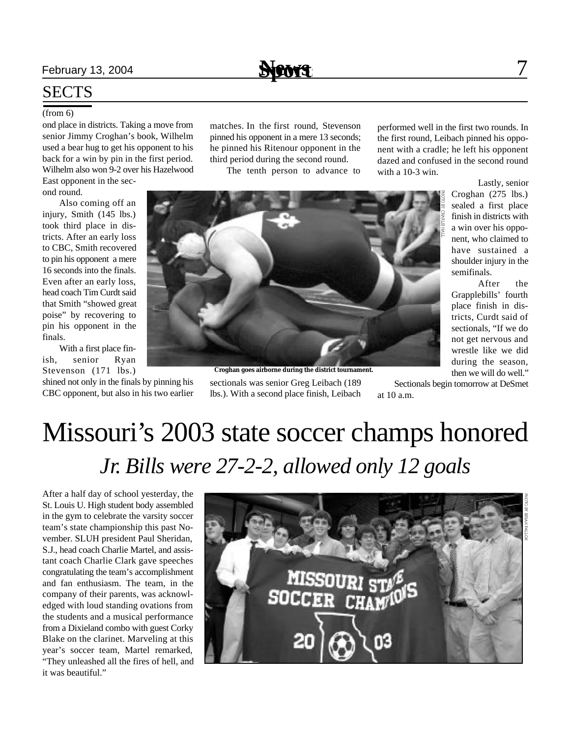## February 13, 2004 **News** 7

**Sports**

## **SECTS**

### (from 6)

ond place in districts. Taking a move from senior Jimmy Croghan's book, Wilhelm used a bear hug to get his opponent to his back for a win by pin in the first period. Wilhelm also won 9-2 over his Hazelwood

East opponent in the second round.

Also coming off an injury, Smith (145 lbs.) took third place in districts. After an early loss to CBC, Smith recovered to pin his opponent a mere 16 seconds into the finals. Even after an early loss, head coach Tim Curdt said that Smith "showed great poise" by recovering to pin his opponent in the finals.

With a first place finish, senior Ryan Stevenson (171 lbs.)

shined not only in the finals by pinning his CBC opponent, but also in his two earlier matches. In the first round, Stevenson pinned his opponent in a mere 13 seconds; he pinned his Ritenour opponent in the third period during the second round.

The tenth person to advance to

performed well in the first two rounds. In the first round, Leibach pinned his opponent with a cradle; he left his opponent dazed and confused in the second round with a 10-3 win.



sectionals was senior Greg Leibach (189 lbs.). With a second place finish, Leibach **Croghan goes airborne during the district tournament.**

Lastly, senior Croghan (275 lbs.) sealed a first place finish in districts with a win over his opponent, who claimed to have sustained a shoulder injury in the semifinals.

After the Grapplebills' fourth place finish in districts, Curdt said of sectionals, "If we do not get nervous and wrestle like we did during the season, then we will do well."

Sectionals begin tomorrow at DeSmet at 10 a.m.

# Missouri's 2003 state soccer champs honored *Jr. Bills were 27-2-2, allowed only 12 goals*

After a half day of school yesterday, the St. Louis U. High student body assembled in the gym to celebrate the varsity soccer team's state championship this past November. SLUH president Paul Sheridan, S.J., head coach Charlie Martel, and assistant coach Charlie Clark gave speeches congratulating the team's accomplishment and fan enthusiasm. The team, in the company of their parents, was acknowledged with loud standing ovations from the students and a musical performance from a Dixieland combo with guest Corky Blake on the clarinet. Marveling at this year's soccer team, Martel remarked, "They unleashed all the fires of hell, and it was beautiful."

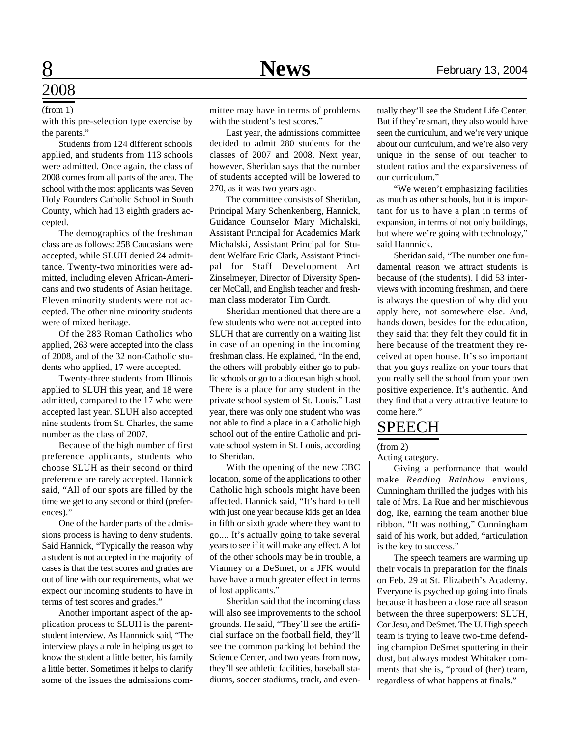### (from 1)

with this pre-selection type exercise by the parents."

Students from 124 different schools applied, and students from 113 schools were admitted. Once again, the class of 2008 comes from all parts of the area. The school with the most applicants was Seven Holy Founders Catholic School in South County, which had 13 eighth graders accepted.

The demographics of the freshman class are as follows: 258 Caucasians were accepted, while SLUH denied 24 admittance. Twenty-two minorities were admitted, including eleven African-Americans and two students of Asian heritage. Eleven minority students were not accepted. The other nine minority students were of mixed heritage.

Of the 283 Roman Catholics who applied, 263 were accepted into the class of 2008, and of the 32 non-Catholic students who applied, 17 were accepted.

Twenty-three students from Illinois applied to SLUH this year, and 18 were admitted, compared to the 17 who were accepted last year. SLUH also accepted nine students from St. Charles, the same number as the class of 2007.

Because of the high number of first preference applicants, students who choose SLUH as their second or third preference are rarely accepted. Hannick said, "All of our spots are filled by the time we get to any second or third (preferences)."

One of the harder parts of the admissions process is having to deny students. Said Hannick, "Typically the reason why a student is not accepted in the majority of cases is that the test scores and grades are out of line with our requirements, what we expect our incoming students to have in terms of test scores and grades."

Another important aspect of the application process to SLUH is the parentstudent interview. As Hannnick said, "The interview plays a role in helping us get to know the student a little better, his family a little better. Sometimes it helps to clarify some of the issues the admissions committee may have in terms of problems with the student's test scores."

Last year, the admissions committee decided to admit 280 students for the classes of 2007 and 2008. Next year, however, Sheridan says that the number of students accepted will be lowered to 270, as it was two years ago.

The committee consists of Sheridan, Principal Mary Schenkenberg, Hannick, Guidance Counselor Mary Michalski, Assistant Principal for Academics Mark Michalski, Assistant Principal for Student Welfare Eric Clark, Assistant Principal for Staff Development Art Zinselmeyer, Director of Diversity Spencer McCall, and English teacher and freshman class moderator Tim Curdt.

Sheridan mentioned that there are a few students who were not accepted into SLUH that are currently on a waiting list in case of an opening in the incoming freshman class. He explained, "In the end, the others will probably either go to public schools or go to a diocesan high school. There is a place for any student in the private school system of St. Louis." Last year, there was only one student who was not able to find a place in a Catholic high school out of the entire Catholic and private school system in St. Louis, according to Sheridan.

With the opening of the new CBC location, some of the applications to other Catholic high schools might have been affected. Hannick said, "It's hard to tell with just one year because kids get an idea in fifth or sixth grade where they want to go.... It's actually going to take several years to see if it will make any effect. A lot of the other schools may be in trouble, a Vianney or a DeSmet, or a JFK would have have a much greater effect in terms of lost applicants."

Sheridan said that the incoming class will also see improvements to the school grounds. He said, "They'll see the artificial surface on the football field, they'll see the common parking lot behind the Science Center, and two years from now, they'll see athletic facilities, baseball stadiums, soccer stadiums, track, and even-

tually they'll see the Student Life Center. But if they're smart, they also would have seen the curriculum, and we're very unique about our curriculum, and we're also very unique in the sense of our teacher to student ratios and the expansiveness of our curriculum."

"We weren't emphasizing facilities as much as other schools, but it is important for us to have a plan in terms of expansion, in terms of not only buildings, but where we're going with technology," said Hannnick.

Sheridan said, "The number one fundamental reason we attract students is because of (the students). I did 53 interviews with incoming freshman, and there is always the question of why did you apply here, not somewhere else. And, hands down, besides for the education, they said that they felt they could fit in here because of the treatment they received at open house. It's so important that you guys realize on your tours that you really sell the school from your own positive experience. It's authentic. And they find that a very attractive feature to come here."

## SPEECH

(from 2)

Acting category.

Giving a performance that would make *Reading Rainbow* envious, Cunningham thrilled the judges with his tale of Mrs. La Rue and her mischievous dog, Ike, earning the team another blue ribbon. "It was nothing," Cunningham said of his work, but added, "articulation is the key to success."

The speech teamers are warming up their vocals in preparation for the finals on Feb. 29 at St. Elizabeth's Academy. Everyone is psyched up going into finals because it has been a close race all season between the three superpowers: SLUH, Cor Jesu, and DeSmet. The U. High speech team is trying to leave two-time defending champion DeSmet sputtering in their dust, but always modest Whitaker comments that she is, "proud of (her) team, regardless of what happens at finals."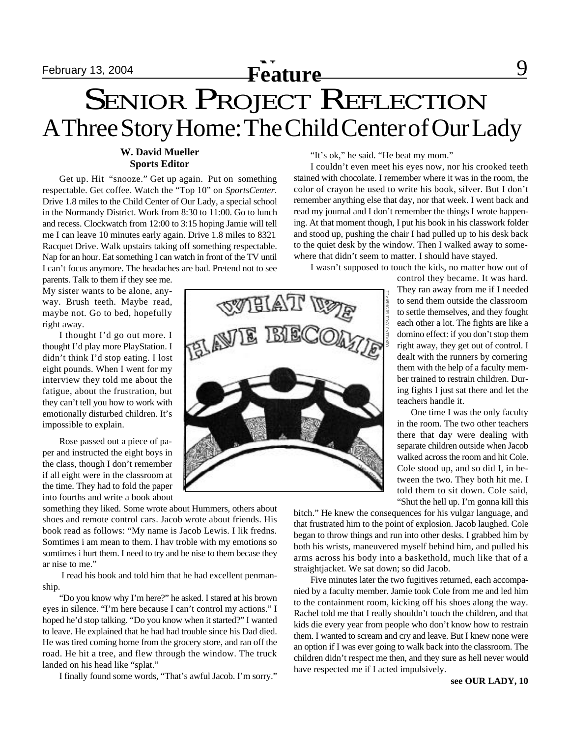## **February 13, 2004 Feature Prophetical Settlem Contract Contract Contract Contract Contract Contract Contract Contract Contract Contract Contract Contract Contract Contract Contract Contract Contract Contract Contract**

# SENIOR PROJECT REFLECTION A Three Story Home: The Child Center of Our Lady

## **W. David Mueller Sports Editor**

Get up. Hit "snooze." Get up again. Put on something respectable. Get coffee. Watch the "Top 10" on *SportsCenter*. Drive 1.8 miles to the Child Center of Our Lady, a special school in the Normandy District. Work from 8:30 to 11:00. Go to lunch and recess. Clockwatch from 12:00 to 3:15 hoping Jamie will tell me I can leave 10 minutes early again. Drive 1.8 miles to 8321 Racquet Drive. Walk upstairs taking off something respectable. Nap for an hour. Eat something I can watch in front of the TV until I can't focus anymore. The headaches are bad. Pretend not to see

parents. Talk to them if they see me. My sister wants to be alone, anyway. Brush teeth. Maybe read, maybe not. Go to bed, hopefully right away.

I thought I'd go out more. I thought I'd play more PlayStation. I didn't think I'd stop eating. I lost eight pounds. When I went for my interview they told me about the fatigue, about the frustration, but they can't tell you how to work with emotionally disturbed children. It's impossible to explain.

Rose passed out a piece of paper and instructed the eight boys in the class, though I don't remember if all eight were in the classroom at the time. They had to fold the paper into fourths and write a book about

something they liked. Some wrote about Hummers, others about shoes and remote control cars. Jacob wrote about friends. His book read as follows: "My name is Jacob Lewis. I lik fredns. Somtimes i am mean to them. I hav troble with my emotions so somtimes i hurt them. I need to try and be nise to them becase they ar nise to me."

 I read his book and told him that he had excellent penmanship.

"Do you know why I'm here?" he asked. I stared at his brown eyes in silence. "I'm here because I can't control my actions." I hoped he'd stop talking. "Do you know when it started?" I wanted to leave. He explained that he had had trouble since his Dad died. He was tired coming home from the grocery store, and ran off the road. He hit a tree, and flew through the window. The truck landed on his head like "splat."

I finally found some words, "That's awful Jacob. I'm sorry."

**QWELAT** 

"It's ok," he said. "He beat my mom."

I couldn't even meet his eyes now, nor his crooked teeth stained with chocolate. I remember where it was in the room, the color of crayon he used to write his book, silver. But I don't remember anything else that day, nor that week. I went back and read my journal and I don't remember the things I wrote happening. At that moment though, I put his book in his classwork folder and stood up, pushing the chair I had pulled up to his desk back to the quiet desk by the window. Then I walked away to somewhere that didn't seem to matter. I should have stayed.

I wasn't supposed to touch the kids, no matter how out of

control they became. It was hard. They ran away from me if I needed to send them outside the classroom to settle themselves, and they fought each other a lot. The fights are like a domino effect: if you don't stop them right away, they get out of control. I dealt with the runners by cornering them with the help of a faculty member trained to restrain children. During fights I just sat there and let the teachers handle it.

 One time I was the only faculty in the room. The two other teachers there that day were dealing with separate children outside when Jacob walked across the room and hit Cole. Cole stood up, and so did I, in between the two. They both hit me. I told them to sit down. Cole said, "Shut the hell up. I'm gonna kill this

bitch." He knew the consequences for his vulgar language, and that frustrated him to the point of explosion. Jacob laughed. Cole began to throw things and run into other desks. I grabbed him by both his wrists, maneuvered myself behind him, and pulled his arms across his body into a baskethold, much like that of a straightjacket. We sat down; so did Jacob.

Five minutes later the two fugitives returned, each accompanied by a faculty member. Jamie took Cole from me and led him to the containment room, kicking off his shoes along the way. Rachel told me that I really shouldn't touch the children, and that kids die every year from people who don't know how to restrain them. I wanted to scream and cry and leave. But I knew none were an option if I was ever going to walk back into the classroom. The children didn't respect me then, and they sure as hell never would have respected me if I acted impulsively.

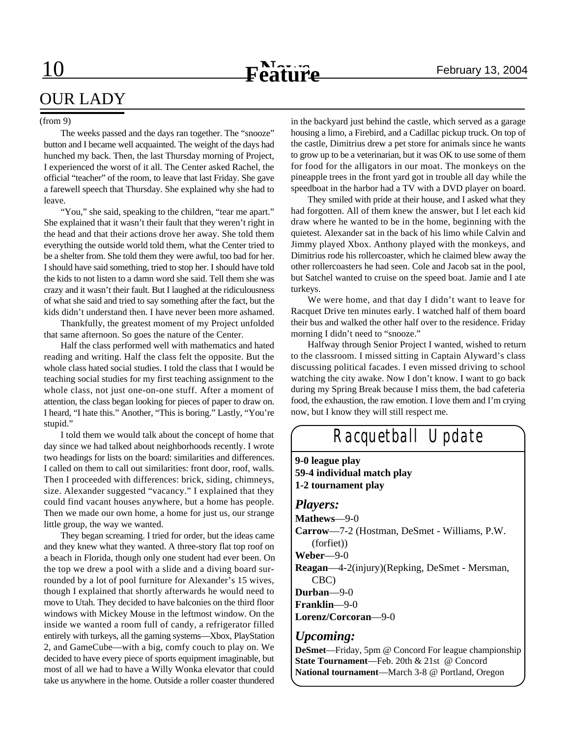# OUR LADY

### (from 9)

The weeks passed and the days ran together. The "snooze" button and I became well acquainted. The weight of the days had hunched my back. Then, the last Thursday morning of Project, I experienced the worst of it all. The Center asked Rachel, the official "teacher" of the room, to leave that last Friday. She gave a farewell speech that Thursday. She explained why she had to leave.

"You," she said, speaking to the children, "tear me apart." She explained that it wasn't their fault that they weren't right in the head and that their actions drove her away. She told them everything the outside world told them, what the Center tried to be a shelter from. She told them they were awful, too bad for her. I should have said something, tried to stop her. I should have told the kids to not listen to a damn word she said. Tell them she was crazy and it wasn't their fault. But I laughed at the ridiculousness of what she said and tried to say something after the fact, but the kids didn't understand then. I have never been more ashamed.

Thankfully, the greatest moment of my Project unfolded that same afternoon. So goes the nature of the Center.

Half the class performed well with mathematics and hated reading and writing. Half the class felt the opposite. But the whole class hated social studies. I told the class that I would be teaching social studies for my first teaching assignment to the whole class, not just one-on-one stuff. After a moment of attention, the class began looking for pieces of paper to draw on. I heard, "I hate this." Another, "This is boring." Lastly, "You're stupid."

I told them we would talk about the concept of home that day since we had talked about neighborhoods recently. I wrote two headings for lists on the board: similarities and differences. I called on them to call out similarities: front door, roof, walls. Then I proceeded with differences: brick, siding, chimneys, size. Alexander suggested "vacancy." I explained that they could find vacant houses anywhere, but a home has people. Then we made our own home, a home for just us, our strange little group, the way we wanted.

They began screaming. I tried for order, but the ideas came and they knew what they wanted. A three-story flat top roof on a beach in Florida, though only one student had ever been. On the top we drew a pool with a slide and a diving board surrounded by a lot of pool furniture for Alexander's 15 wives, though I explained that shortly afterwards he would need to move to Utah. They decided to have balconies on the third floor windows with Mickey Mouse in the leftmost window. On the inside we wanted a room full of candy, a refrigerator filled entirely with turkeys, all the gaming systems—Xbox, PlayStation 2, and GameCube—with a big, comfy couch to play on. We decided to have every piece of sports equipment imaginable, but most of all we had to have a Willy Wonka elevator that could take us anywhere in the home. Outside a roller coaster thundered

in the backyard just behind the castle, which served as a garage housing a limo, a Firebird, and a Cadillac pickup truck. On top of the castle, Dimitrius drew a pet store for animals since he wants to grow up to be a veterinarian, but it was OK to use some of them for food for the alligators in our moat. The monkeys on the pineapple trees in the front yard got in trouble all day while the speedboat in the harbor had a TV with a DVD player on board.

They smiled with pride at their house, and I asked what they had forgotten. All of them knew the answer, but I let each kid draw where he wanted to be in the home, beginning with the quietest. Alexander sat in the back of his limo while Calvin and Jimmy played Xbox. Anthony played with the monkeys, and Dimitrius rode his rollercoaster, which he claimed blew away the other rollercoasters he had seen. Cole and Jacob sat in the pool, but Satchel wanted to cruise on the speed boat. Jamie and I ate turkeys.

We were home, and that day I didn't want to leave for Racquet Drive ten minutes early. I watched half of them board their bus and walked the other half over to the residence. Friday morning I didn't need to "snooze."

Halfway through Senior Project I wanted, wished to return to the classroom. I missed sitting in Captain Alyward's class discussing political facades. I even missed driving to school watching the city awake. Now I don't know. I want to go back during my Spring Break because I miss them, the bad cafeteria food, the exhaustion, the raw emotion. I love them and I'm crying now, but I know they will still respect me.

# *Racquetball Update*

**9-0 league play 59-4 individual match play 1-2 tournament play**

### *Players:*

**Mathews**—9-0 **Carrow**—7-2 (Hostman, DeSmet - Williams, P.W. (forfiet)) **Weber**—9-0 **Reagan**—4-2(injury)(Repking, DeSmet - Mersman, CBC) **Durban**—9-0

**Franklin**—9-0

**Lorenz/Corcoran**—9-0

## *Upcoming:*

**DeSmet**—Friday, 5pm @ Concord For league championship **State Tournament**—Feb. 20th & 21st @ Concord **National tournament**—March 3-8 @ Portland, Oregon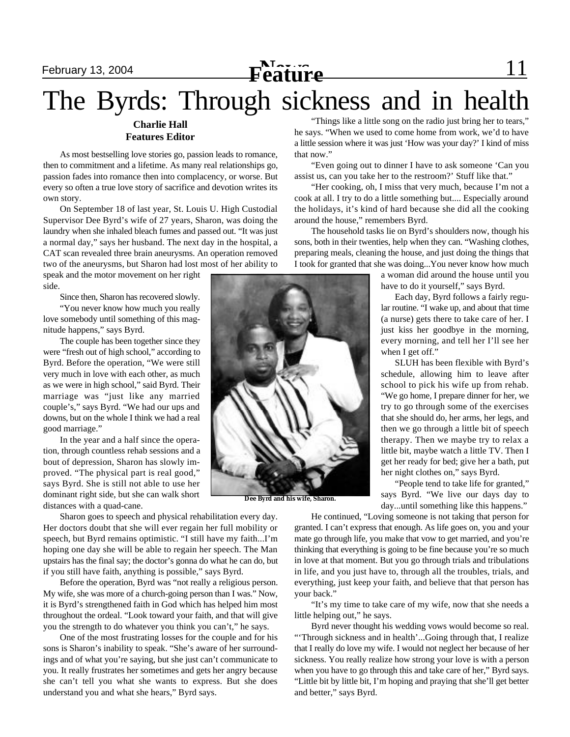# **February 13, 2004 February 13, 2004 Feature Feature 11**

# The Byrds: Through sickness and in health

## **Charlie Hall Features Editor**

As most bestselling love stories go, passion leads to romance, then to commitment and a lifetime. As many real relationships go, passion fades into romance then into complacency, or worse. But every so often a true love story of sacrifice and devotion writes its own story.

On September 18 of last year, St. Louis U. High Custodial Supervisor Dee Byrd's wife of 27 years, Sharon, was doing the laundry when she inhaled bleach fumes and passed out. "It was just a normal day," says her husband. The next day in the hospital, a CAT scan revealed three brain aneurysms. An operation removed two of the aneurysms, but Sharon had lost most of her ability to

speak and the motor movement on her right side.

Since then, Sharon has recovered slowly.

"You never know how much you really love somebody until something of this magnitude happens," says Byrd.

The couple has been together since they were "fresh out of high school," according to Byrd. Before the operation, "We were still very much in love with each other, as much as we were in high school," said Byrd. Their marriage was "just like any married couple's," says Byrd. "We had our ups and downs, but on the whole I think we had a real good marriage."

In the year and a half since the operation, through countless rehab sessions and a bout of depression, Sharon has slowly improved. "The physical part is real good," says Byrd. She is still not able to use her dominant right side, but she can walk short distances with a quad-cane.

Sharon goes to speech and physical rehabilitation every day. Her doctors doubt that she will ever regain her full mobility or speech, but Byrd remains optimistic. "I still have my faith...I'm hoping one day she will be able to regain her speech. The Man upstairs has the final say; the doctor's gonna do what he can do, but if you still have faith, anything is possible," says Byrd.

Before the operation, Byrd was "not really a religious person. My wife, she was more of a church-going person than I was." Now, it is Byrd's strengthened faith in God which has helped him most throughout the ordeal. "Look toward your faith, and that will give you the strength to do whatever you think you can't," he says.

One of the most frustrating losses for the couple and for his sons is Sharon's inability to speak. "She's aware of her surroundings and of what you're saying, but she just can't communicate to you. It really frustrates her sometimes and gets her angry because she can't tell you what she wants to express. But she does understand you and what she hears," Byrd says.

"Things like a little song on the radio just bring her to tears," he says. "When we used to come home from work, we'd to have a little session where it was just 'How was your day?' I kind of miss that now."

"Even going out to dinner I have to ask someone 'Can you assist us, can you take her to the restroom?' Stuff like that."

"Her cooking, oh, I miss that very much, because I'm not a cook at all. I try to do a little something but.... Especially around the holidays, it's kind of hard because she did all the cooking around the house," remembers Byrd.

The household tasks lie on Byrd's shoulders now, though his sons, both in their twenties, help when they can. "Washing clothes, preparing meals, cleaning the house, and just doing the things that I took for granted that she was doing...You never know how much

> a woman did around the house until you have to do it yourself," says Byrd.

Each day, Byrd follows a fairly regular routine. "I wake up, and about that time (a nurse) gets there to take care of her. I just kiss her goodbye in the morning, every morning, and tell her I'll see her when I get off."

SLUH has been flexible with Byrd's schedule, allowing him to leave after school to pick his wife up from rehab. "We go home, I prepare dinner for her, we try to go through some of the exercises that she should do, her arms, her legs, and then we go through a little bit of speech therapy. Then we maybe try to relax a little bit, maybe watch a little TV. Then I get her ready for bed; give her a bath, put her night clothes on," says Byrd.

"People tend to take life for granted," says Byrd. "We live our days day to day...until something like this happens."

He continued, "Loving someone is not taking that person for granted. I can't express that enough. As life goes on, you and your mate go through life, you make that vow to get married, and you're thinking that everything is going to be fine because you're so much in love at that moment. But you go through trials and tribulations in life, and you just have to, through all the troubles, trials, and everything, just keep your faith, and believe that that person has your back."

"It's my time to take care of my wife, now that she needs a little helping out," he says.

Byrd never thought his wedding vows would become so real. "'Through sickness and in health'...Going through that, I realize that I really do love my wife. I would not neglect her because of her sickness. You really realize how strong your love is with a person when you have to go through this and take care of her," Byrd says. "Little bit by little bit, I'm hoping and praying that she'll get better and better," says Byrd.



**Dee Byrd and his wife, Sharon.**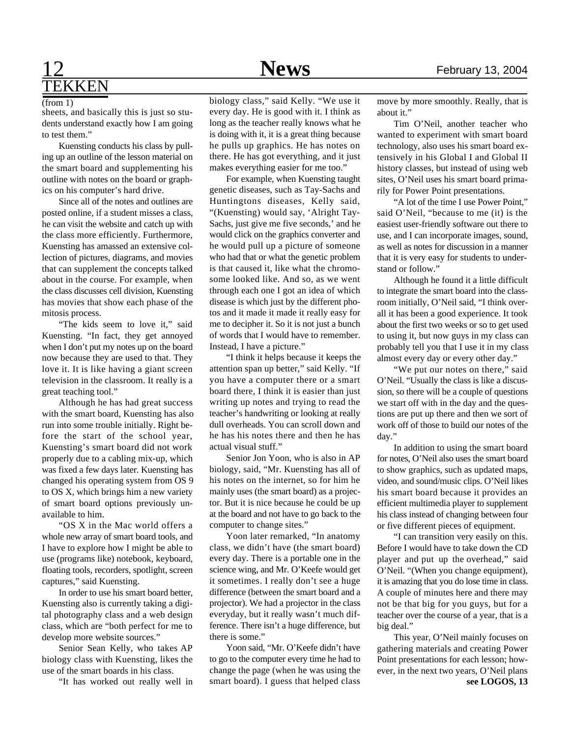## 12 **News** February 13, 2004 **TEKKEN**

### (from 1)

sheets, and basically this is just so students understand exactly how I am going to test them."

Kuensting conducts his class by pulling up an outline of the lesson material on the smart board and supplementing his outline with notes on the board or graphics on his computer's hard drive.

Since all of the notes and outlines are posted online, if a student misses a class, he can visit the website and catch up with the class more efficiently. Furthermore, Kuensting has amassed an extensive collection of pictures, diagrams, and movies that can supplement the concepts talked about in the course. For example, when the class discusses cell division, Kuensting has movies that show each phase of the mitosis process.

"The kids seem to love it," said Kuensting. "In fact, they get annoyed when I don't put my notes up on the board now because they are used to that. They love it. It is like having a giant screen television in the classroom. It really is a great teaching tool."

Although he has had great success with the smart board, Kuensting has also run into some trouble initially. Right before the start of the school year, Kuensting's smart board did not work properly due to a cabling mix-up, which was fixed a few days later. Kuensting has changed his operating system from OS 9 to OS X, which brings him a new variety of smart board options previously unavailable to him.

"OS X in the Mac world offers a whole new array of smart board tools, and I have to explore how I might be able to use (programs like) notebook, keyboard, floating tools, recorders, spotlight, screen captures," said Kuensting.

In order to use his smart board better, Kuensting also is currently taking a digital photography class and a web design class, which are "both perfect for me to develop more website sources."

Senior Sean Kelly, who takes AP biology class with Kuensting, likes the use of the smart boards in his class.

"It has worked out really well in

biology class," said Kelly. "We use it every day. He is good with it. I think as long as the teacher really knows what he is doing with it, it is a great thing because he pulls up graphics. He has notes on there. He has got everything, and it just makes everything easier for me too."

For example, when Kuensting taught genetic diseases, such as Tay-Sachs and Huntingtons diseases, Kelly said, "(Kuensting) would say, 'Alright Tay-Sachs, just give me five seconds,' and he would click on the graphics converter and he would pull up a picture of someone who had that or what the genetic problem is that caused it, like what the chromosome looked like. And so, as we went through each one I got an idea of which disease is which just by the different photos and it made it made it really easy for me to decipher it. So it is not just a bunch of words that I would have to remember. Instead, I have a picture."

"I think it helps because it keeps the attention span up better," said Kelly. "If you have a computer there or a smart board there, I think it is easier than just writing up notes and trying to read the teacher's handwriting or looking at really dull overheads. You can scroll down and he has his notes there and then he has actual visual stuff."

Senior Jon Yoon, who is also in AP biology, said, "Mr. Kuensting has all of his notes on the internet, so for him he mainly uses (the smart board) as a projector. But it is nice because he could be up at the board and not have to go back to the computer to change sites."

Yoon later remarked, "In anatomy class, we didn't have (the smart board) every day. There is a portable one in the science wing, and Mr. O'Keefe would get it sometimes. I really don't see a huge difference (between the smart board and a projector). We had a projector in the class everyday, but it really wasn't much difference. There isn't a huge difference, but there is some."

Yoon said, "Mr. O'Keefe didn't have to go to the computer every time he had to change the page (when he was using the smart board). I guess that helped class move by more smoothly. Really, that is about it."

Tim O'Neil, another teacher who wanted to experiment with smart board technology, also uses his smart board extensively in his Global I and Global II history classes, but instead of using web sites, O'Neil uses his smart board primarily for Power Point presentations.

"A lot of the time I use Power Point," said O'Neil, "because to me (it) is the easiest user-friendly software out there to use, and I can incorporate images, sound, as well as notes for discussion in a manner that it is very easy for students to understand or follow."

Although he found it a little difficult to integrate the smart board into the classroom initially, O'Neil said, "I think overall it has been a good experience. It took about the first two weeks or so to get used to using it, but now guys in my class can probably tell you that I use it in my class almost every day or every other day."

"We put our notes on there," said O'Neil. "Usually the class is like a discussion, so there will be a couple of questions we start off with in the day and the questions are put up there and then we sort of work off of those to build our notes of the day."

In addition to using the smart board for notes, O'Neil also uses the smart board to show graphics, such as updated maps, video, and sound/music clips. O'Neil likes his smart board because it provides an efficient multimedia player to supplement his class instead of changing between four or five different pieces of equipment.

"I can transition very easily on this. Before I would have to take down the CD player and put up the overhead," said O'Neil. "(When you change equipment), it is amazing that you do lose time in class. A couple of minutes here and there may not be that big for you guys, but for a teacher over the course of a year, that is a big deal."

This year, O'Neil mainly focuses on gathering materials and creating Power Point presentations for each lesson; however, in the next two years, O'Neil plans **see LOGOS, 13**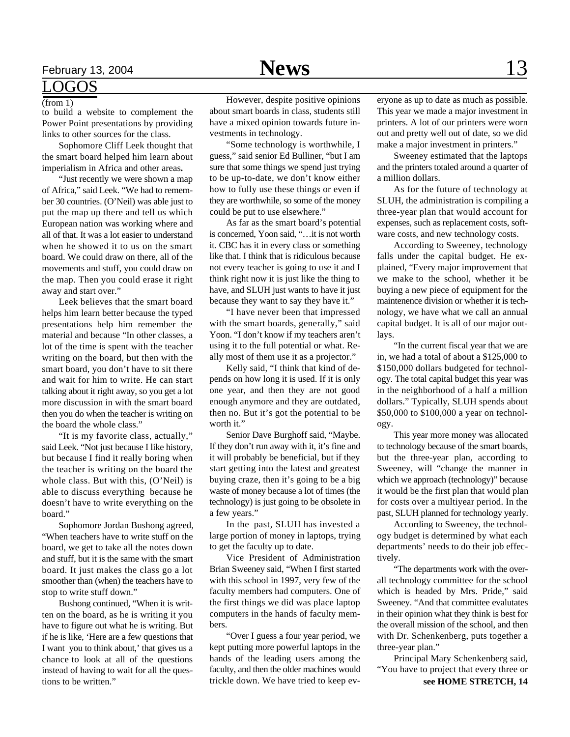## February 13, 2004 **News**  $13$

## LOGOS

### (from 1)

to build a website to complement the Power Point presentations by providing links to other sources for the class.

Sophomore Cliff Leek thought that the smart board helped him learn about imperialism in Africa and other areas**.**

"Just recently we were shown a map of Africa," said Leek. "We had to remember 30 countries. (O'Neil) was able just to put the map up there and tell us which European nation was working where and all of that. It was a lot easier to understand when he showed it to us on the smart board. We could draw on there, all of the movements and stuff, you could draw on the map. Then you could erase it right away and start over."

Leek believes that the smart board helps him learn better because the typed presentations help him remember the material and because "In other classes, a lot of the time is spent with the teacher writing on the board, but then with the smart board, you don't have to sit there and wait for him to write. He can start talking about it right away, so you get a lot more discussion in with the smart board then you do when the teacher is writing on the board the whole class."

"It is my favorite class, actually," said Leek. "Not just because I like history, but because I find it really boring when the teacher is writing on the board the whole class. But with this, (O'Neil) is able to discuss everything because he doesn't have to write everything on the board."

Sophomore Jordan Bushong agreed, "When teachers have to write stuff on the board, we get to take all the notes down and stuff, but it is the same with the smart board. It just makes the class go a lot smoother than (when) the teachers have to stop to write stuff down."

Bushong continued, "When it is written on the board, as he is writing it you have to figure out what he is writing. But if he is like, 'Here are a few questions that I want you to think about,' that gives us a chance to look at all of the questions instead of having to wait for all the questions to be written."

However, despite positive opinions about smart boards in class, students still have a mixed opinion towards future investments in technology.

"Some technology is worthwhile, I guess," said senior Ed Bulliner, "but I am sure that some things we spend just trying to be up-to-date, we don't know either how to fully use these things or even if they are worthwhile, so some of the money could be put to use elsewhere."

As far as the smart board's potential is concerned, Yoon said, "…it is not worth it. CBC has it in every class or something like that. I think that is ridiculous because not every teacher is going to use it and I think right now it is just like the thing to have, and SLUH just wants to have it just because they want to say they have it."

"I have never been that impressed with the smart boards, generally," said Yoon. "I don't know if my teachers aren't using it to the full potential or what. Really most of them use it as a projector."

Kelly said, "I think that kind of depends on how long it is used. If it is only one year, and then they are not good enough anymore and they are outdated, then no. But it's got the potential to be worth it."

Senior Dave Burghoff said, "Maybe. If they don't run away with it, it's fine and it will probably be beneficial, but if they start getting into the latest and greatest buying craze, then it's going to be a big waste of money because a lot of times (the technology) is just going to be obsolete in a few years."

In the past, SLUH has invested a large portion of money in laptops, trying to get the faculty up to date.

Vice President of Administration Brian Sweeney said, "When I first started with this school in 1997, very few of the faculty members had computers. One of the first things we did was place laptop computers in the hands of faculty members.

"Over I guess a four year period, we kept putting more powerful laptops in the hands of the leading users among the faculty, and then the older machines would trickle down. We have tried to keep ev-

eryone as up to date as much as possible. This year we made a major investment in printers. A lot of our printers were worn out and pretty well out of date, so we did make a major investment in printers."

Sweeney estimated that the laptops and the printers totaled around a quarter of a million dollars.

As for the future of technology at SLUH, the administration is compiling a three-year plan that would account for expenses, such as replacement costs, software costs, and new technology costs.

According to Sweeney, technology falls under the capital budget. He explained, "Every major improvement that we make to the school, whether it be buying a new piece of equipment for the maintenence division or whether it is technology, we have what we call an annual capital budget. It is all of our major outlays.

"In the current fiscal year that we are in, we had a total of about a \$125,000 to \$150,000 dollars budgeted for technology. The total capital budget this year was in the neighborhood of a half a million dollars." Typically, SLUH spends about \$50,000 to \$100,000 a year on technology.

This year more money was allocated to technology because of the smart boards, but the three-year plan, according to Sweeney, will "change the manner in which we approach (technology)" because it would be the first plan that would plan for costs over a multiyear period. In the past, SLUH planned for technology yearly.

According to Sweeney, the technology budget is determined by what each departments' needs to do their job effectively.

"The departments work with the overall technology committee for the school which is headed by Mrs. Pride," said Sweeney. "And that committee evalutates in their opinion what they think is best for the overall mission of the school, and then with Dr. Schenkenberg, puts together a three-year plan."

Principal Mary Schenkenberg said, "You have to project that every three or **see HOME STRETCH, 14**